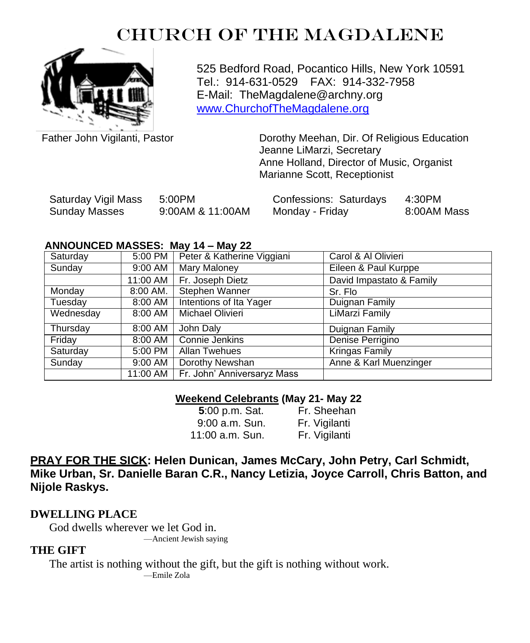# CHURCH OF THE MAGDALENE



525 Bedford Road, Pocantico Hills, New York 10591 Tel.: 914-631-0529 FAX: 914-332-7958 E-Mail: TheMagdalene@archny.org [www.ChurchofTheMagdalene.org](http://www.churchofthemagdalene.org/)

Father John Vigilanti, Pastor **Dorothy Meehan, Dir. Of Religious Education** Jeanne LiMarzi, Secretary Anne Holland, Director of Music, Organist Marianne Scott, Receptionist

| Saturday Vigil Mass | 5:00PM           | Confessions: Saturdays | 4:30PM      |
|---------------------|------------------|------------------------|-------------|
| Sunday Masses       | 9:00AM & 11:00AM | Monday - Friday        | 8:00AM Mass |

#### **ANNOUNCED MASSES: May 14 – May 22**

| Saturday  | 5:00 PM  | Peter & Katherine Viggiani             | Carol & Al Olivieri      |
|-----------|----------|----------------------------------------|--------------------------|
| Sunday    | 9:00 AM  | <b>Mary Maloney</b>                    | Eileen & Paul Kurppe     |
|           | 11:00 AM | Fr. Joseph Dietz                       | David Impastato & Family |
| Monday    | 8:00 AM. | Stephen Wanner                         | Sr. Flo                  |
| Tuesday   | 8:00 AM  | Intentions of Ita Yager                | Duignan Family           |
| Wednesday | 8:00 AM  | Michael Olivieri                       | LiMarzi Family           |
| Thursday  | 8:00 AM  | John Daly                              | Duignan Family           |
| Friday    | 8:00 AM  | Connie Jenkins                         | Denise Perrigino         |
| Saturday  | 5:00 PM  | Allan Twehues                          | <b>Kringas Family</b>    |
| Sunday    | 9:00 AM  | Dorothy Newshan                        | Anne & Karl Muenzinger   |
|           |          | 11:00 AM   Fr. John' Anniversaryz Mass |                          |

### **Weekend Celebrants (May 21- May 22**

| 5:00 p.m. Sat.  | Fr. Sheehan   |
|-----------------|---------------|
| 9:00 a.m. Sun.  | Fr. Vigilanti |
| 11:00 a.m. Sun. | Fr. Vigilanti |

## **PRAY FOR THE SICK: Helen Dunican, James McCary, John Petry, Carl Schmidt, Mike Urban, Sr. Danielle Baran C.R., Nancy Letizia, Joyce Carroll, Chris Batton, and Nijole Raskys.**

## **DWELLING PLACE**

God dwells wherever we let God in.

—Ancient Jewish saying

## **THE GIFT**

The artist is nothing without the gift, but the gift is nothing without work. —Emile Zola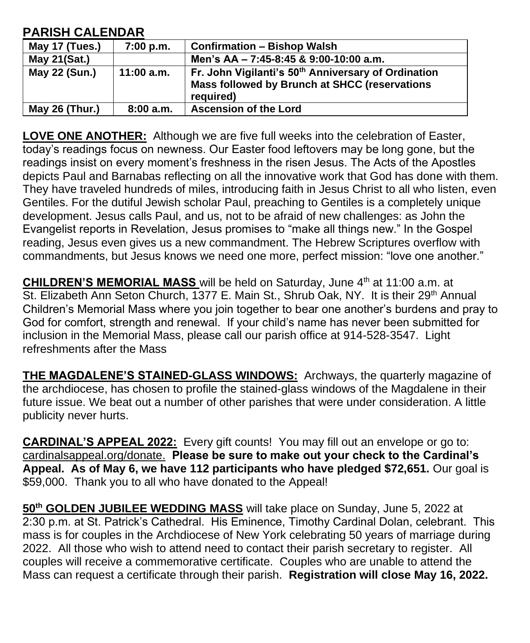| <b>PARISH CALENDAR</b> |  |
|------------------------|--|
|------------------------|--|

| May 17 (Tues.) | 7:00 p.m.  | <b>Confirmation - Bishop Walsh</b>                                                                                            |
|----------------|------------|-------------------------------------------------------------------------------------------------------------------------------|
| May 21(Sat.)   |            | Men's AA - 7:45-8:45 & 9:00-10:00 a.m.                                                                                        |
| May 22 (Sun.)  | 11:00 a.m. | Fr. John Vigilanti's 50 <sup>th</sup> Anniversary of Ordination<br>Mass followed by Brunch at SHCC (reservations<br>required) |
| May 26 (Thur.) | 8:00a.m.   | <b>Ascension of the Lord</b>                                                                                                  |

**LOVE ONE ANOTHER:** Although we are five full weeks into the celebration of Easter, today's readings focus on newness. Our Easter food leftovers may be long gone, but the readings insist on every moment's freshness in the risen Jesus. The Acts of the Apostles depicts Paul and Barnabas reflecting on all the innovative work that God has done with them. They have traveled hundreds of miles, introducing faith in Jesus Christ to all who listen, even Gentiles. For the dutiful Jewish scholar Paul, preaching to Gentiles is a completely unique development. Jesus calls Paul, and us, not to be afraid of new challenges: as John the Evangelist reports in Revelation, Jesus promises to "make all things new." In the Gospel reading, Jesus even gives us a new commandment. The Hebrew Scriptures overflow with commandments, but Jesus knows we need one more, perfect mission: "love one another."

**CHILDREN'S MEMORIAL MASS** will be held on Saturday, June 4<sup>th</sup> at 11:00 a.m. at St. Elizabeth Ann Seton Church, 1377 E. Main St., Shrub Oak, NY. It is their 29<sup>th</sup> Annual Children's Memorial Mass where you join together to bear one another's burdens and pray to God for comfort, strength and renewal. If your child's name has never been submitted for inclusion in the Memorial Mass, please call our parish office at 914-528-3547. Light refreshments after the Mass

**THE MAGDALENE'S STAINED-GLASS WINDOWS:** Archways, the quarterly magazine of the archdiocese, has chosen to profile the stained-glass windows of the Magdalene in their future issue. We beat out a number of other parishes that were under consideration. A little publicity never hurts.

**CARDINAL'S APPEAL 2022:** Every gift counts! You may fill out an envelope or go to: cardinalsappeal.org/donate. **Please be sure to make out your check to the Cardinal's Appeal. As of May 6, we have 112 participants who have pledged \$72,651.** Our goal is \$59,000. Thank you to all who have donated to the Appeal!

**50th GOLDEN JUBILEE WEDDING MASS** will take place on Sunday, June 5, 2022 at 2:30 p.m. at St. Patrick's Cathedral. His Eminence, Timothy Cardinal Dolan, celebrant. This mass is for couples in the Archdiocese of New York celebrating 50 years of marriage during 2022. All those who wish to attend need to contact their parish secretary to register. All couples will receive a commemorative certificate. Couples who are unable to attend the Mass can request a certificate through their parish. **Registration will close May 16, 2022.**